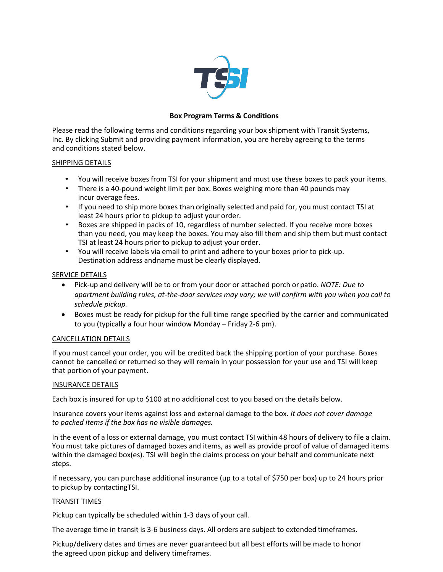

# **Box Program Terms & Conditions**

Please read the following terms and conditions regarding your box shipment with Transit Systems, Inc. By clicking Submit and providing payment information, you are hereby agreeing to the terms and conditions stated below.

## SHIPPING DETAILS

- You will receive boxes from TSI for your shipment and must use these boxes to pack your items.
- There is a 40-pound weight limit per box. Boxes weighing more than 40 pounds may incur overage fees.
- If you need to ship more boxes than originally selected and paid for, you must contact TSI at least 24 hours prior to pickup to adjust your order.
- Boxes are shipped in packs of 10, regardless of number selected. If you receive more boxes than you need, you may keep the boxes. You may also fill them and ship them but must contact TSI at least 24 hours prior to pickup to adjust your order.
- You will receive labels via email to print and adhere to your boxes prior to pick-up. Destination address and name must be clearly displayed.

## SERVICE DETAILS

- Pick-up and delivery will be to or from your door or attached porch or patio. *NOTE: Due to apartment building rules, at-the-door services may vary; we will confirm with you when you call to schedule pickup.*
- Boxes must be ready for pickup for the full time range specified by the carrier and communicated to you (typically a four hour window Monday – Friday 2-6 pm).

# CANCELLATION DETAILS

If you must cancel your order, you will be credited back the shipping portion of your purchase. Boxes cannot be cancelled or returned so they will remain in your possession for your use and TSI will keep that portion of your payment.

### INSURANCE DETAILS

Each box is insured for up to \$100 at no additional cost to you based on the details below.

Insurance covers your items against loss and external damage to the box. *It does not cover damage to packed items if the box has no visible damages.*

In the event of a loss or external damage, you must contact TSI within 48 hours of delivery to file a claim. You must take pictures of damaged boxes and items, as well as provide proof of value of damaged items within the damaged box(es). TSI will begin the claims process on your behalf and communicate next steps.

If necessary, you can purchase additional insurance (up to a total of \$750 per box) up to 24 hours prior to pickup by contactingTSI.

### TRANSIT TIMES

Pickup can typically be scheduled within 1-3 days of your call.

The average time in transit is 3-6 business days. All orders are subject to extended timeframes.

Pickup/delivery dates and times are never guaranteed but all best efforts will be made to honor the agreed upon pickup and delivery timeframes.